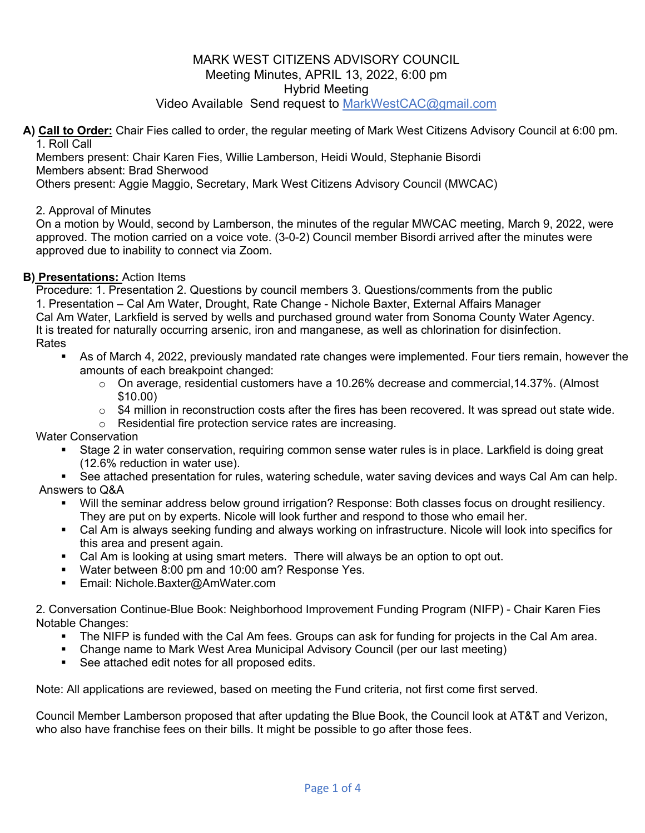# Video Available Send request to MarkWestCAC@gmail.com

**A) Call to Order:** Chair Fies called to order, the regular meeting of Mark West Citizens Advisory Council at 6:00 pm. 1. Roll Call

Members present: Chair Karen Fies, Willie Lamberson, Heidi Would, Stephanie Bisordi Members absent: Brad Sherwood

Others present: Aggie Maggio, Secretary, Mark West Citizens Advisory Council (MWCAC)

### 2. Approval of Minutes

On a motion by Would, second by Lamberson, the minutes of the regular MWCAC meeting, March 9, 2022, were approved. The motion carried on a voice vote. (3-0-2) Council member Bisordi arrived after the minutes were approved due to inability to connect via Zoom.

### **B) Presentations:** Action Items

Procedure: 1. Presentation 2. Questions by council members 3. Questions/comments from the public 1. Presentation – Cal Am Water, Drought, Rate Change - Nichole Baxter, External Affairs Manager Cal Am Water, Larkfield is served by wells and purchased ground water from Sonoma County Water Agency. It is treated for naturally occurring arsenic, iron and manganese, as well as chlorination for disinfection. Rates

- As of March 4, 2022, previously mandated rate changes were implemented. Four tiers remain, however the amounts of each breakpoint changed:
	- $\circ$  On average, residential customers have a 10.26% decrease and commercial, 14.37%. (Almost \$10.00)
	- $\circ$  \$4 million in reconstruction costs after the fires has been recovered. It was spread out state wide.
	- o Residential fire protection service rates are increasing.

Water Conservation

- Stage 2 in water conservation, requiring common sense water rules is in place. Larkfield is doing great (12.6% reduction in water use).
- See attached presentation for rules, watering schedule, water saving devices and ways Cal Am can help. Answers to Q&A
	- § Will the seminar address below ground irrigation? Response: Both classes focus on drought resiliency. They are put on by experts. Nicole will look further and respond to those who email her.
	- § Cal Am is always seeking funding and always working on infrastructure. Nicole will look into specifics for this area and present again.
	- Cal Am is looking at using smart meters. There will always be an option to opt out.
	- Water between 8:00 pm and 10:00 am? Response Yes.
	- Email: Nichole.Baxter@AmWater.com

2. Conversation Continue-Blue Book: Neighborhood Improvement Funding Program (NIFP) - Chair Karen Fies Notable Changes:

- The NIFP is funded with the Cal Am fees. Groups can ask for funding for projects in the Cal Am area.
- § Change name to Mark West Area Municipal Advisory Council (per our last meeting)
- See attached edit notes for all proposed edits.

Note: All applications are reviewed, based on meeting the Fund criteria, not first come first served.

Council Member Lamberson proposed that after updating the Blue Book, the Council look at AT&T and Verizon, who also have franchise fees on their bills. It might be possible to go after those fees.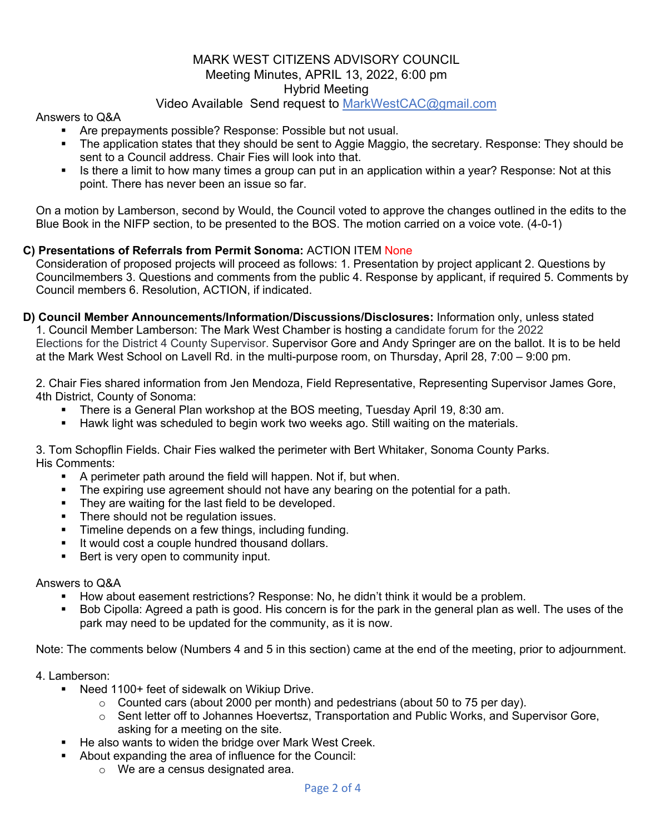# Video Available Send request to MarkWestCAC@gmail.com

### Answers to Q&A

- § Are prepayments possible? Response: Possible but not usual.
- The application states that they should be sent to Aggie Maggio, the secretary. Response: They should be sent to a Council address. Chair Fies will look into that.
- Is there a limit to how many times a group can put in an application within a year? Response: Not at this point. There has never been an issue so far.

On a motion by Lamberson, second by Would, the Council voted to approve the changes outlined in the edits to the Blue Book in the NIFP section, to be presented to the BOS. The motion carried on a voice vote. (4-0-1)

# **C) Presentations of Referrals from Permit Sonoma:** ACTION ITEM None

Consideration of proposed projects will proceed as follows: 1. Presentation by project applicant 2. Questions by Councilmembers 3. Questions and comments from the public 4. Response by applicant, if required 5. Comments by Council members 6. Resolution, ACTION, if indicated.

**D) Council Member Announcements/Information/Discussions/Disclosures:** Information only, unless stated 1. Council Member Lamberson: The Mark West Chamber is hosting a candidate forum for the 2022 Elections for the District 4 County Supervisor. Supervisor Gore and Andy Springer are on the ballot. It is to be held at the Mark West School on Lavell Rd. in the multi-purpose room, on Thursday, April 28, 7:00 – 9:00 pm.

2. Chair Fies shared information from Jen Mendoza, Field Representative, Representing Supervisor James Gore, 4th District, County of Sonoma:

- § There is a General Plan workshop at the BOS meeting, Tuesday April 19, 8:30 am.
- **Hawk light was scheduled to begin work two weeks ago. Still waiting on the materials.**

3. Tom Schopflin Fields. Chair Fies walked the perimeter with Bert Whitaker, Sonoma County Parks. His Comments:

- A perimeter path around the field will happen. Not if, but when.
- The expiring use agreement should not have any bearing on the potential for a path.
- They are waiting for the last field to be developed.
- **•** There should not be regulation issues.
- Timeline depends on a few things, including funding.
- It would cost a couple hundred thousand dollars.
- Bert is very open to community input.

#### Answers to Q&A

- § How about easement restrictions? Response: No, he didn't think it would be a problem.
- § Bob Cipolla: Agreed a path is good. His concern is for the park in the general plan as well. The uses of the park may need to be updated for the community, as it is now.

Note: The comments below (Numbers 4 and 5 in this section) came at the end of the meeting, prior to adjournment.

#### 4. Lamberson:

- Need 1100+ feet of sidewalk on Wikiup Drive.
	- $\circ$  Counted cars (about 2000 per month) and pedestrians (about 50 to 75 per day).
	- $\circ$  Sent letter off to Johannes Hoevertsz, Transportation and Public Works, and Supervisor Gore, asking for a meeting on the site.
- He also wants to widen the bridge over Mark West Creek.
- § About expanding the area of influence for the Council:
	- o We are a census designated area.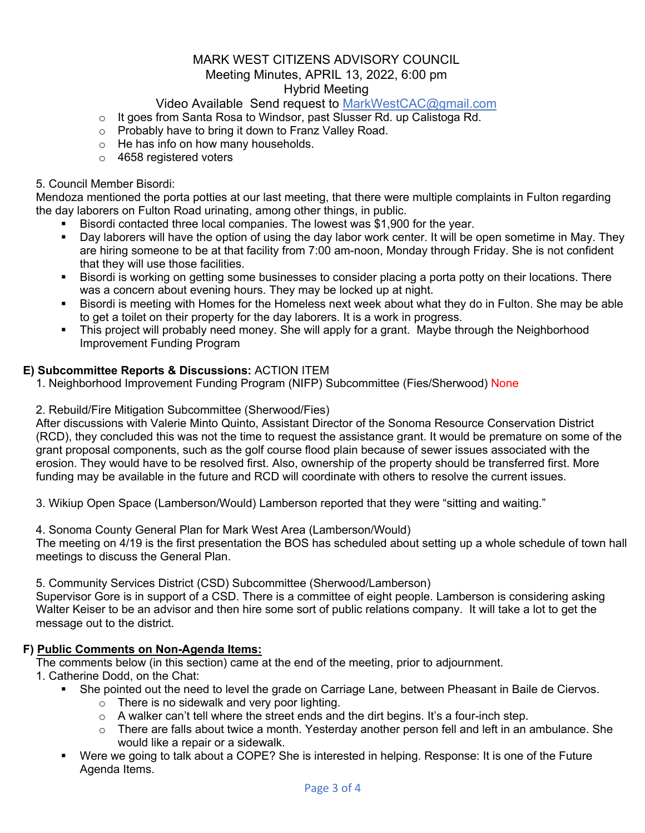# Video Available Send request to MarkWestCAC@gmail.com

- o It goes from Santa Rosa to Windsor, past Slusser Rd. up Calistoga Rd.
- o Probably have to bring it down to Franz Valley Road.
- o He has info on how many households.
- o 4658 registered voters

### 5. Council Member Bisordi:

Mendoza mentioned the porta potties at our last meeting, that there were multiple complaints in Fulton regarding the day laborers on Fulton Road urinating, among other things, in public.

- § Bisordi contacted three local companies. The lowest was \$1,900 for the year.
- § Day laborers will have the option of using the day labor work center. It will be open sometime in May. They are hiring someone to be at that facility from 7:00 am-noon, Monday through Friday. She is not confident that they will use those facilities.
- § Bisordi is working on getting some businesses to consider placing a porta potty on their locations. There was a concern about evening hours. They may be locked up at night.
- § Bisordi is meeting with Homes for the Homeless next week about what they do in Fulton. She may be able to get a toilet on their property for the day laborers. It is a work in progress.
- This project will probably need money. She will apply for a grant. Maybe through the Neighborhood Improvement Funding Program

# **E) Subcommittee Reports & Discussions:** ACTION ITEM

- 1. Neighborhood Improvement Funding Program (NIFP) Subcommittee (Fies/Sherwood) None
- 2. Rebuild/Fire Mitigation Subcommittee (Sherwood/Fies)

After discussions with Valerie Minto Quinto, Assistant Director of the Sonoma Resource Conservation District (RCD), they concluded this was not the time to request the assistance grant. It would be premature on some of the grant proposal components, such as the golf course flood plain because of sewer issues associated with the erosion. They would have to be resolved first. Also, ownership of the property should be transferred first. More funding may be available in the future and RCD will coordinate with others to resolve the current issues.

3. Wikiup Open Space (Lamberson/Would) Lamberson reported that they were "sitting and waiting."

4. Sonoma County General Plan for Mark West Area (Lamberson/Would)

The meeting on 4/19 is the first presentation the BOS has scheduled about setting up a whole schedule of town hall meetings to discuss the General Plan.

5. Community Services District (CSD) Subcommittee (Sherwood/Lamberson)

Supervisor Gore is in support of a CSD. There is a committee of eight people. Lamberson is considering asking Walter Keiser to be an advisor and then hire some sort of public relations company. It will take a lot to get the message out to the district.

# **F) Public Comments on Non-Agenda Items:**

The comments below (in this section) came at the end of the meeting, prior to adjournment.

- 1. Catherine Dodd, on the Chat:
	- She pointed out the need to level the grade on Carriage Lane, between Pheasant in Baile de Ciervos.
		- o There is no sidewalk and very poor lighting.
		- $\circ$  A walker can't tell where the street ends and the dirt begins. It's a four-inch step.
		- $\circ$  There are falls about twice a month. Yesterday another person fell and left in an ambulance. She would like a repair or a sidewalk.
	- § Were we going to talk about a COPE? She is interested in helping. Response: It is one of the Future Agenda Items.